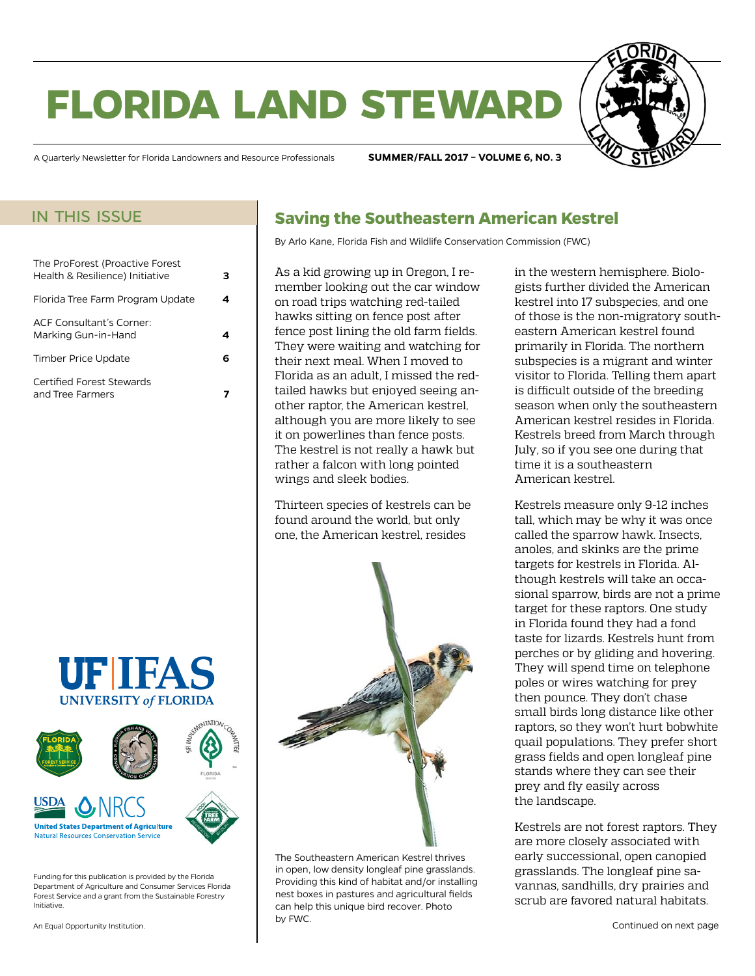# **florida land steward**

A Quarterly Newsletter for Florida Landowners and Resource Professionals **SUMMER/FALL 2017 – VOLUME 6, NO. 3**

#### in this issue

| The ProForest (Proactive Forest<br>Health & Resilience) Initiative |  |
|--------------------------------------------------------------------|--|
| Florida Tree Farm Program Update                                   |  |
| ACE Consultant's Corner<br>Marking Gun-in-Hand                     |  |
| Timber Price Update                                                |  |
| Certified Forest Stewards<br>and Tree Farmers                      |  |





Funding for this publication is provided by the Florida Department of Agriculture and Consumer Services Florida Forest Service and a grant from the Sustainable Forestry Initiative.

An Equal Opportunity Institution.

### **Saving the Southeastern American Kestrel**

By Arlo Kane, Florida Fish and Wildlife Conservation Commission (FWC)

As a kid growing up in Oregon, I remember looking out the car window on road trips watching red-tailed hawks sitting on fence post after fence post lining the old farm fields. They were waiting and watching for their next meal. When I moved to Florida as an adult, I missed the redtailed hawks but enjoyed seeing another raptor, the American kestrel, although you are more likely to see it on powerlines than fence posts. The kestrel is not really a hawk but rather a falcon with long pointed wings and sleek bodies.

Thirteen species of kestrels can be found around the world, but only one, the American kestrel, resides



The Southeastern American Kestrel thrives in open, low density longleaf pine grasslands. Providing this kind of habitat and/or installing nest boxes in pastures and agricultural fields can help this unique bird recover. Photo by FWC.

in the western hemisphere. Biologists further divided the American kestrel into 17 subspecies, and one of those is the non-migratory southeastern American kestrel found primarily in Florida. The northern subspecies is a migrant and winter visitor to Florida. Telling them apart is difficult outside of the breeding season when only the southeastern American kestrel resides in Florida. Kestrels breed from March through July, so if you see one during that time it is a southeastern American kestrel.

Kestrels measure only 9-12 inches tall, which may be why it was once called the sparrow hawk. Insects, anoles, and skinks are the prime targets for kestrels in Florida. Although kestrels will take an occasional sparrow, birds are not a prime target for these raptors. One study in Florida found they had a fond taste for lizards. Kestrels hunt from perches or by gliding and hovering. They will spend time on telephone poles or wires watching for prey then pounce. They don't chase small birds long distance like other raptors, so they won't hurt bobwhite quail populations. They prefer short grass fields and open longleaf pine stands where they can see their prey and fly easily across the landscape.

Kestrels are not forest raptors. They are more closely associated with early successional, open canopied grasslands. The longleaf pine savannas, sandhills, dry prairies and scrub are favored natural habitats.

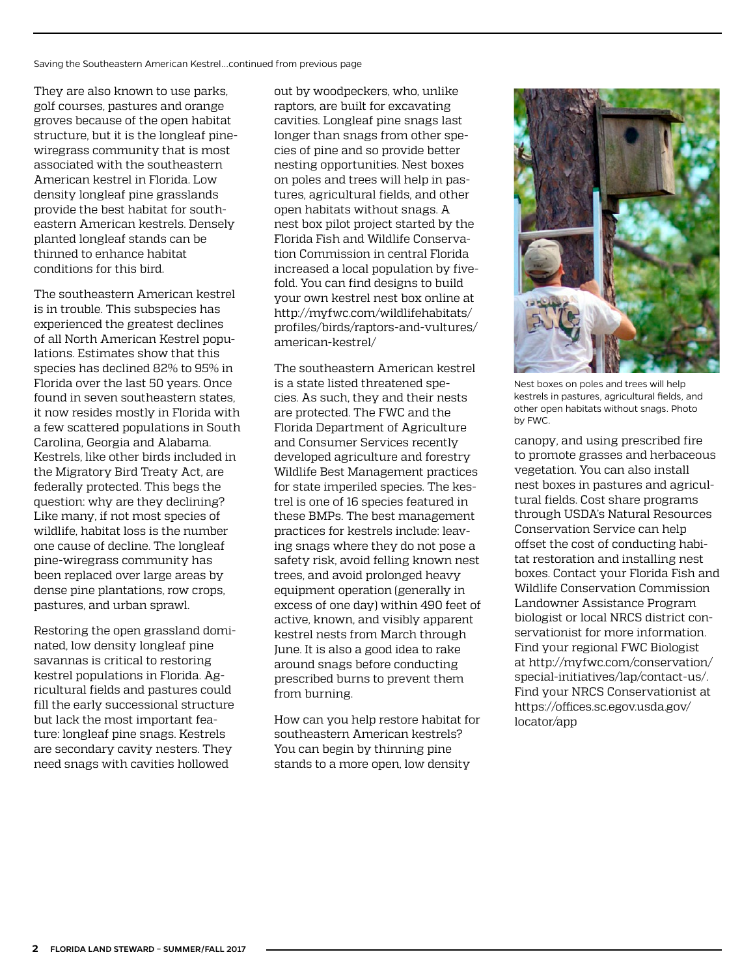Saving the Southeastern American Kestrel...continued from previous page

They are also known to use parks, golf courses, pastures and orange groves because of the open habitat structure, but it is the longleaf pinewiregrass community that is most associated with the southeastern American kestrel in Florida. Low density longleaf pine grasslands provide the best habitat for southeastern American kestrels. Densely planted longleaf stands can be thinned to enhance habitat conditions for this bird.

The southeastern American kestrel is in trouble. This subspecies has experienced the greatest declines of all North American Kestrel populations. Estimates show that this species has declined 82% to 95% in Florida over the last 50 years. Once found in seven southeastern states, it now resides mostly in Florida with a few scattered populations in South Carolina, Georgia and Alabama. Kestrels, like other birds included in the Migratory Bird Treaty Act, are federally protected. This begs the question: why are they declining? Like many, if not most species of wildlife, habitat loss is the number one cause of decline. The longleaf pine-wiregrass community has been replaced over large areas by dense pine plantations, row crops, pastures, and urban sprawl.

Restoring the open grassland dominated, low density longleaf pine savannas is critical to restoring kestrel populations in Florida. Agricultural fields and pastures could fill the early successional structure but lack the most important feature: longleaf pine snags. Kestrels are secondary cavity nesters. They need snags with cavities hollowed

out by woodpeckers, who, unlike raptors, are built for excavating cavities. Longleaf pine snags last longer than snags from other species of pine and so provide better nesting opportunities. Nest boxes on poles and trees will help in pastures, agricultural fields, and other open habitats without snags. A nest box pilot project started by the Florida Fish and Wildlife Conservation Commission in central Florida increased a local population by fivefold. You can find designs to build your own kestrel nest box online at [http://myfwc.com/wildlifehabitats/](http://myfwc.com/wildlifehabitats/profiles/birds/raptors-and-vultures/american-kestrel/) [profiles/birds/raptors-and-vultures/](http://myfwc.com/wildlifehabitats/profiles/birds/raptors-and-vultures/american-kestrel/) [american-kestrel/](http://myfwc.com/wildlifehabitats/profiles/birds/raptors-and-vultures/american-kestrel/)

The southeastern American kestrel is a state listed threatened species. As such, they and their nests are protected. The FWC and the Florida Department of Agriculture and Consumer Services recently developed agriculture and forestry Wildlife Best Management practices for state imperiled species. The kestrel is one of 16 species featured in these BMPs. The best management practices for kestrels include: leaving snags where they do not pose a safety risk, avoid felling known nest trees, and avoid prolonged heavy equipment operation (generally in excess of one day) within 490 feet of active, known, and visibly apparent kestrel nests from March through June. It is also a good idea to rake around snags before conducting prescribed burns to prevent them from burning.

How can you help restore habitat for southeastern American kestrels? You can begin by thinning pine stands to a more open, low density



Nest boxes on poles and trees will help kestrels in pastures, agricultural fields, and other open habitats without snags. Photo by FWC.

canopy, and using prescribed fire to promote grasses and herbaceous vegetation. You can also install nest boxes in pastures and agricultural fields. Cost share programs through USDA's Natural Resources Conservation Service can help offset the cost of conducting habitat restoration and installing nest boxes. Contact your Florida Fish and Wildlife Conservation Commission Landowner Assistance Program biologist or local NRCS district conservationist for more information. Find your regional FWC Biologist at [http://myfwc.com/conservation/](http://myfwc.com/conservation/special-initiatives/lap/contact-us/) [special-initiatives/lap/contact-us/.](http://myfwc.com/conservation/special-initiatives/lap/contact-us/) Find your NRCS Conservationist at [https://offices.sc.egov.usda.gov/](https://offices.sc.egov.usda.gov/locator/app) [locator/app](https://offices.sc.egov.usda.gov/locator/app)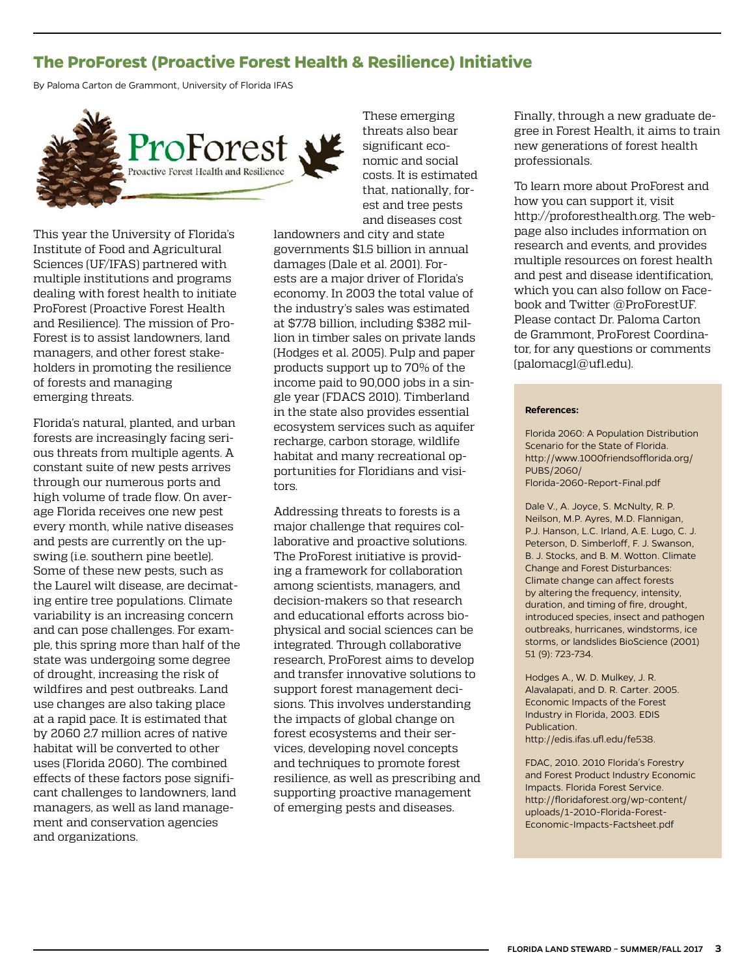### <span id="page-2-0"></span>**The ProForest (Proactive Forest Health & Resilience) Initiative**

By Paloma Carton de Grammont, University of Florida IFAS



This year the University of Florida's Institute of Food and Agricultural Sciences (UF/IFAS) partnered with multiple institutions and programs dealing with forest health to initiate ProForest (Proactive Forest Health and Resilience). The mission of Pro-Forest is to assist landowners, land managers, and other forest stakeholders in promoting the resilience of forests and managing emerging threats.

Florida's natural, planted, and urban forests are increasingly facing serious threats from multiple agents. A constant suite of new pests arrives through our numerous ports and high volume of trade flow. On average Florida receives one new pest every month, while native diseases and pests are currently on the upswing (i.e. southern pine beetle). Some of these new pests, such as the Laurel wilt disease, are decimating entire tree populations. Climate variability is an increasing concern and can pose challenges. For example, this spring more than half of the state was undergoing some degree of drought, increasing the risk of wildfires and pest outbreaks. Land use changes are also taking place at a rapid pace. It is estimated that by 2060 2.7 million acres of native habitat will be converted to other uses (Florida 2060). The combined effects of these factors pose significant challenges to landowners, land managers, as well as land management and conservation agencies and organizations.

and diseases cost landowners and city and state governments \$1.5 billion in annual damages (Dale et al. 2001). Forests are a major driver of Florida's economy. In 2003 the total value of the industry's sales was estimated at \$7.78 billion, including \$382 million in timber sales on private lands (Hodges et al. 2005). Pulp and paper products support up to 70% of the income paid to 90,000 jobs in a single year (FDACS 2010). Timberland in the state also provides essential ecosystem services such as aquifer recharge, carbon storage, wildlife habitat and many recreational opportunities for Floridians and visitors.

These emerging threats also bear significant economic and social costs. It is estimated that, nationally, forest and tree pests

Addressing threats to forests is a major challenge that requires collaborative and proactive solutions. The ProForest initiative is providing a framework for collaboration among scientists, managers, and decision-makers so that research and educational efforts across biophysical and social sciences can be integrated. Through collaborative research, ProForest aims to develop and transfer innovative solutions to support forest management decisions. This involves understanding the impacts of global change on forest ecosystems and their services, developing novel concepts and techniques to promote forest resilience, as well as prescribing and supporting proactive management of emerging pests and diseases.

Finally, through a new graduate degree in Forest Health, it aims to train new generations of forest health professionals.

To learn more about ProForest and how you can support it, visit [http://proforesthealth.org.](http://proforesthealth.org) The webpage also includes information on research and events, and provides multiple resources on forest health and pest and disease identification, which you can also follow on Facebook and Twitter @ProForestUF. Please contact Dr. Paloma Carton de Grammont, ProForest Coordinator, for any questions or comments ([palomacgl@ufl.edu](mailto:palomacgl%40ufl.edu?subject=)).

#### **References:**

Florida 2060: A Population Distribution Scenario for the State of Florida. [http://www.1000friendsofflorida.org/](http://www.1000friendsofflorida.org/PUBS/2060/Florida-2060-Report-Final.pdf) [PUBS/2060/](http://www.1000friendsofflorida.org/PUBS/2060/Florida-2060-Report-Final.pdf) [Florida-2060-Report-Final.pdf](http://www.1000friendsofflorida.org/PUBS/2060/Florida-2060-Report-Final.pdf)

Dale V., A. Joyce, S. McNulty, R. P. Neilson, M.P. Ayres, M.D. Flannigan, P.J. Hanson, L.C. Irland, A.E. Lugo, C. J. Peterson, D. Simberloff, F. J. Swanson, B. J. Stocks, and B. M. Wotton. Climate Change and Forest Disturbances: Climate change can affect forests by altering the frequency, intensity, duration, and timing of fire, drought, introduced species, insect and pathogen outbreaks, hurricanes, windstorms, ice storms, or landslides BioScience (2001) 51 (9): 723-734.

Hodges A., W. D. Mulkey, J. R. Alavalapati, and D. R. Carter. 2005. Economic Impacts of the Forest Industry in Florida, 2003. EDIS Publication. [http://edis.ifas.ufl.edu/fe538.](http://edis.ifas.ufl.edu/fe538)

FDAC, 2010. 2010 Florida's Forestry and Forest Product Industry Economic Impacts. Florida Forest Service. [http://floridaforest.org/wp-content/](http://floridaforest.org/wp-content/uploads/1-2010-Florida-Forest-Economic-Impacts-Factsheet.pdf) [uploads/1-2010-Florida-Forest-](http://floridaforest.org/wp-content/uploads/1-2010-Florida-Forest-Economic-Impacts-Factsheet.pdf)[Economic-Impacts-Factsheet.pdf](http://floridaforest.org/wp-content/uploads/1-2010-Florida-Forest-Economic-Impacts-Factsheet.pdf)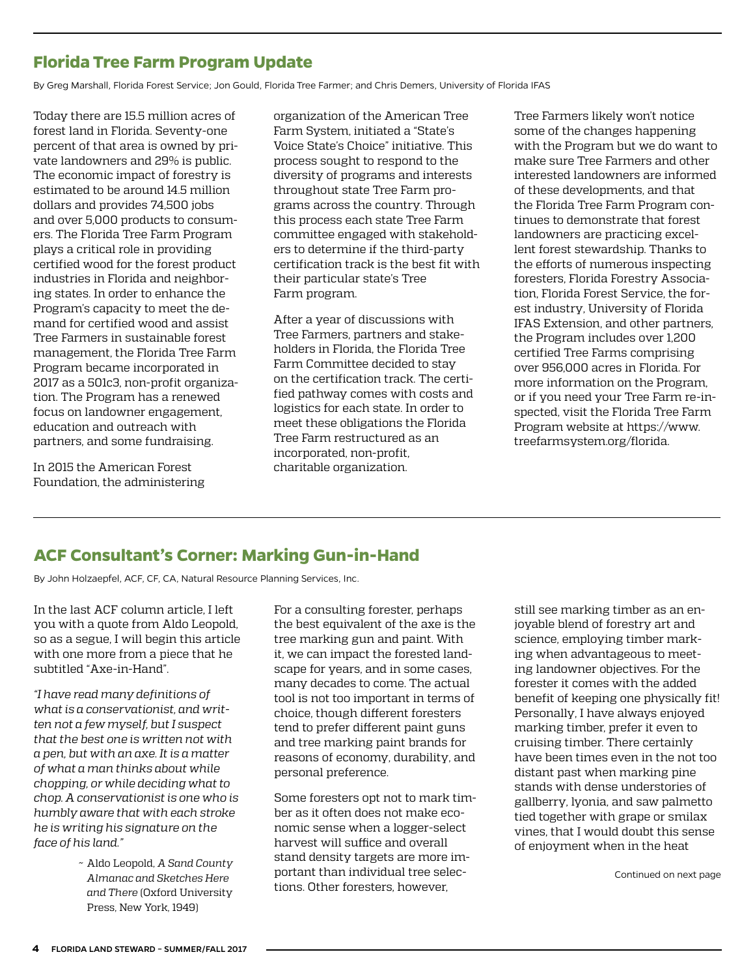### <span id="page-3-0"></span>**Florida Tree Farm Program Update**

By Greg Marshall, Florida Forest Service; Jon Gould, Florida Tree Farmer; and Chris Demers, University of Florida IFAS

Today there are 15.5 million acres of forest land in Florida. Seventy-one percent of that area is owned by private landowners and 29% is public. The economic impact of forestry is estimated to be around 14.5 million dollars and provides 74,500 jobs and over 5,000 products to consumers. The Florida Tree Farm Program plays a critical role in providing certified wood for the forest product industries in Florida and neighboring states. In order to enhance the Program's capacity to meet the demand for certified wood and assist Tree Farmers in sustainable forest management, the Florida Tree Farm Program became incorporated in 2017 as a 501c3, non-profit organization. The Program has a renewed focus on landowner engagement, education and outreach with partners, and some fundraising.

In 2015 the American Forest Foundation, the administering organization of the American Tree Farm System, initiated a "State's Voice State's Choice" initiative. This process sought to respond to the diversity of programs and interests throughout state Tree Farm programs across the country. Through this process each state Tree Farm committee engaged with stakeholders to determine if the third-party certification track is the best fit with their particular state's Tree Farm program.

After a year of discussions with Tree Farmers, partners and stakeholders in Florida, the Florida Tree Farm Committee decided to stay on the certification track. The certified pathway comes with costs and logistics for each state. In order to meet these obligations the Florida Tree Farm restructured as an incorporated, non-profit, charitable organization.

Tree Farmers likely won't notice some of the changes happening with the Program but we do want to make sure Tree Farmers and other interested landowners are informed of these developments, and that the Florida Tree Farm Program continues to demonstrate that forest landowners are practicing excellent forest stewardship. Thanks to the efforts of numerous inspecting foresters, Florida Forestry Association, Florida Forest Service, the forest industry, University of Florida IFAS Extension, and other partners, the Program includes over 1,200 certified Tree Farms comprising over 956,000 acres in Florida. For more information on the Program, or if you need your Tree Farm re-inspected, visit the Florida Tree Farm Program website at [https://www.](https://www.treefarmsystem.org/florida) [treefarmsystem.org/florida](https://www.treefarmsystem.org/florida).

#### **ACF Consultant's Corner: Marking Gun-in-Hand**

By John Holzaepfel, ACF, CF, CA, Natural Resource Planning Services, Inc.

In the last ACF column article, I left you with a quote from Aldo Leopold, so as a segue, I will begin this article with one more from a piece that he subtitled "Axe-in-Hand".

*"I have read many definitions of what is a conservationist, and written not a few myself, but I suspect that the best one is written not with a pen, but with an axe. It is a matter of what a man thinks about while chopping, or while deciding what to chop. A conservationist is one who is humbly aware that with each stroke he is writing his signature on the face of his land."* 

> ~ Aldo Leopold, *A Sand County Almanac and Sketches Here and There* (Oxford University Press, New York, 1949)

For a consulting forester, perhaps the best equivalent of the axe is the tree marking gun and paint. With it, we can impact the forested landscape for years, and in some cases, many decades to come. The actual tool is not too important in terms of choice, though different foresters tend to prefer different paint guns and tree marking paint brands for reasons of economy, durability, and personal preference.

Some foresters opt not to mark timber as it often does not make economic sense when a logger-select harvest will suffice and overall stand density targets are more important than individual tree selections. Other foresters, however,

still see marking timber as an enjoyable blend of forestry art and science, employing timber marking when advantageous to meeting landowner objectives. For the forester it comes with the added benefit of keeping one physically fit! Personally, I have always enjoyed marking timber, prefer it even to cruising timber. There certainly have been times even in the not too distant past when marking pine stands with dense understories of gallberry, lyonia, and saw palmetto tied together with grape or smilax vines, that I would doubt this sense of enjoyment when in the heat

Continued on next page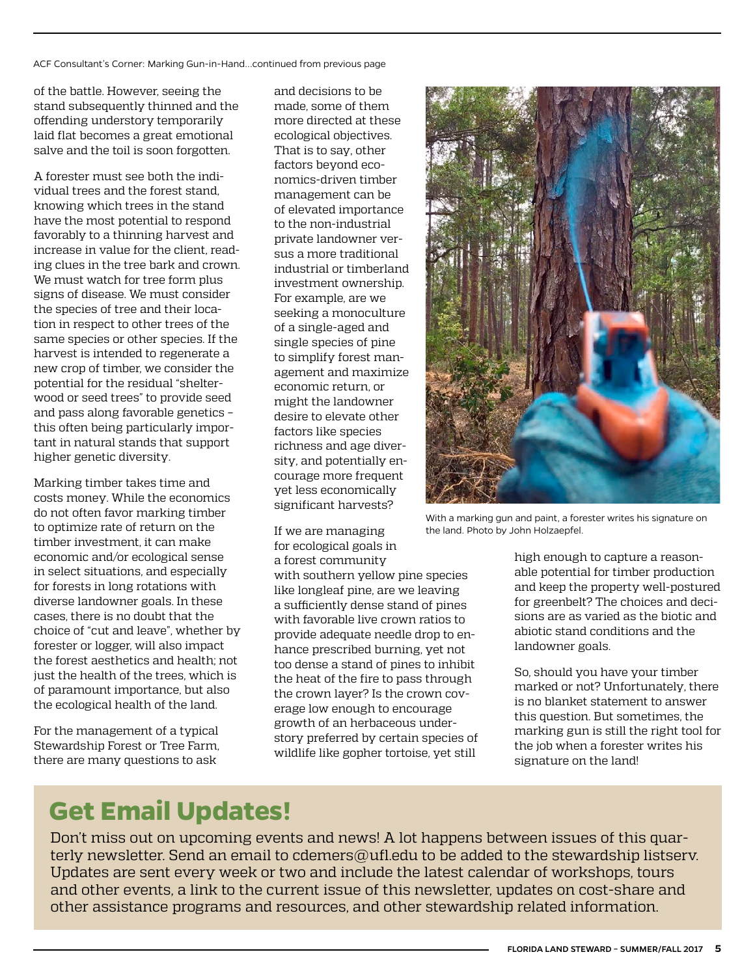ACF Consultant's Corner: Marking Gun-in-Hand...continued from previous page

of the battle. However, seeing the stand subsequently thinned and the offending understory temporarily laid flat becomes a great emotional salve and the toil is soon forgotten.

A forester must see both the individual trees and the forest stand, knowing which trees in the stand have the most potential to respond favorably to a thinning harvest and increase in value for the client, reading clues in the tree bark and crown. We must watch for tree form plus signs of disease. We must consider the species of tree and their location in respect to other trees of the same species or other species. If the harvest is intended to regenerate a new crop of timber, we consider the potential for the residual "shelterwood or seed trees" to provide seed and pass along favorable genetics – this often being particularly important in natural stands that support higher genetic diversity.

Marking timber takes time and costs money. While the economics do not often favor marking timber to optimize rate of return on the timber investment, it can make economic and/or ecological sense in select situations, and especially for forests in long rotations with diverse landowner goals. In these cases, there is no doubt that the choice of "cut and leave", whether by forester or logger, will also impact the forest aesthetics and health; not just the health of the trees, which is of paramount importance, but also the ecological health of the land.

For the management of a typical Stewardship Forest or Tree Farm, there are many questions to ask

and decisions to be made, some of them more directed at these ecological objectives. That is to say, other factors beyond economics-driven timber management can be of elevated importance to the non-industrial private landowner versus a more traditional industrial or timberland investment ownership. For example, are we seeking a monoculture of a single-aged and single species of pine to simplify forest management and maximize economic return, or might the landowner desire to elevate other factors like species richness and age diversity, and potentially encourage more frequent yet less economically significant harvests?

If we are managing for ecological goals in a forest community with southern yellow pine species like longleaf pine, are we leaving a sufficiently dense stand of pines with favorable live crown ratios to provide adequate needle drop to enhance prescribed burning, yet not too dense a stand of pines to inhibit the heat of the fire to pass through the crown layer? Is the crown coverage low enough to encourage growth of an herbaceous understory preferred by certain species of wildlife like gopher tortoise, yet still



With a marking gun and paint, a forester writes his signature on the land. Photo by John Holzaepfel.

high enough to capture a reasonable potential for timber production and keep the property well-postured for greenbelt? The choices and decisions are as varied as the biotic and abiotic stand conditions and the landowner goals.

So, should you have your timber marked or not? Unfortunately, there is no blanket statement to answer this question. But sometimes, the marking gun is still the right tool for the job when a forester writes his signature on the land!

## **Get Email Updates!**

Don't miss out on upcoming events and news! A lot happens between issues of this quarterly newsletter. Send an email to [cdemers@ufl.edu](mailto:cdemers%40ufl.edu?subject=) to be added to the stewardship listserv. Updates are sent every week or two and include the latest calendar of workshops, tours and other events, a link to the current issue of this newsletter, updates on cost-share and other assistance programs and resources, and other stewardship related information.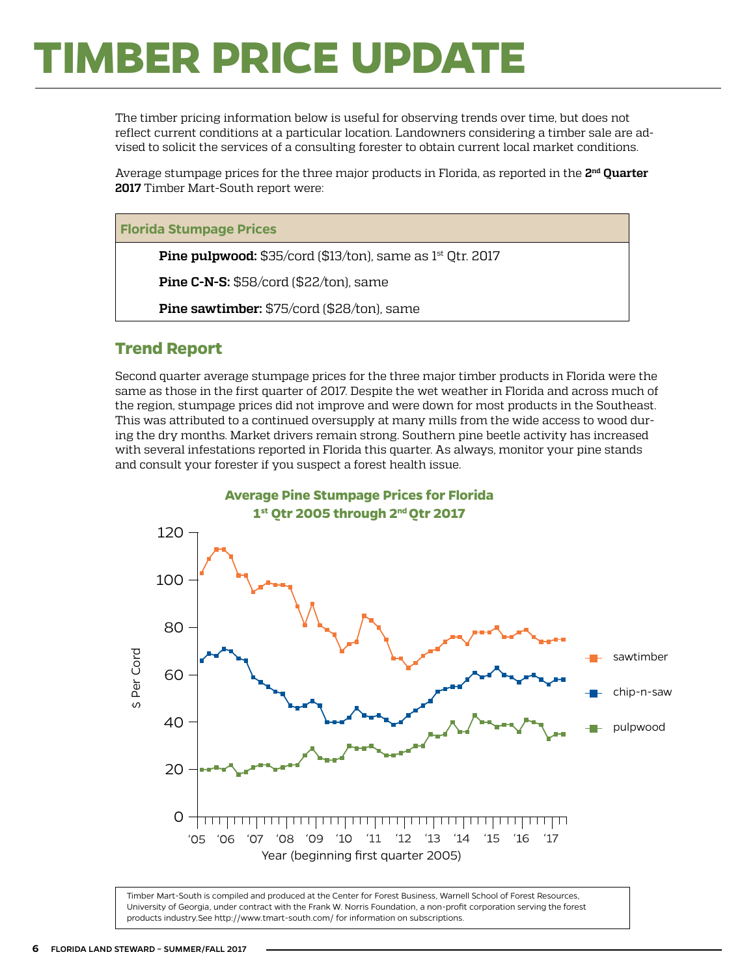# <span id="page-5-0"></span>**TIMBER PRICE UPDATE**

The timber pricing information below is useful for observing trends over time, but does not reflect current conditions at a particular location. Landowners considering a timber sale are advised to solicit the services of a consulting forester to obtain current local market conditions.

Average stumpage prices for the three major products in Florida, as reported in the **2nd Quarter 2017** Timber Mart-South report were:

#### **Florida Stumpage Prices**

**Pine pulpwood:** \$35/cord (\$13/ton), same as 1<sup>st</sup> Qtr. 2017

**Pine C-N-S:** \$58/cord (\$22/ton), same

**Pine sawtimber:** \$75/cord (\$28/ton), same

#### **Trend Report**

Second quarter average stumpage prices for the three major timber products in Florida were the same as those in the first quarter of 2017. Despite the wet weather in Florida and across much of the region, stumpage prices did not improve and were down for most products in the Southeast. This was attributed to a continued oversupply at many mills from the wide access to wood during the dry months. Market drivers remain strong. Southern pine beetle activity has increased with several infestations reported in Florida this quarter. As always, monitor your pine stands and consult your forester if you suspect a forest health issue.



Timber Mart-South is compiled and produced at the Center for Forest Business, Warnell School of Forest Resources, University of Georgia, under contract with the Frank W. Norris Foundation, a non-profit corporation serving the forest products industry.See<http://www.tmart-south.com/>for information on subscriptions.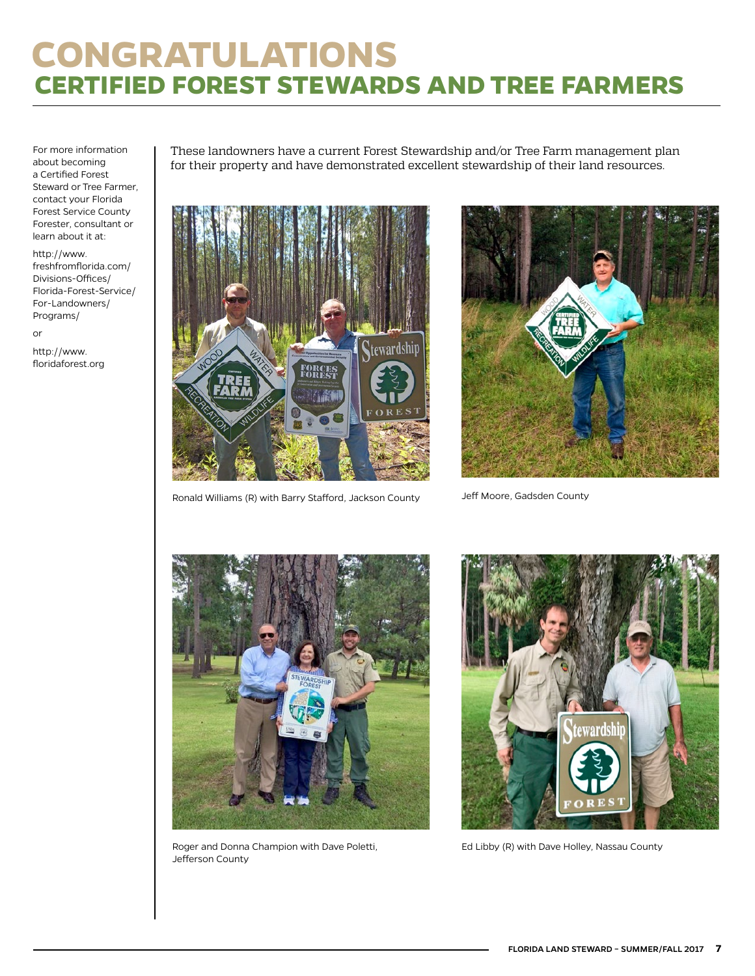## <span id="page-6-0"></span>**CONGRATULATIONS CERTIFIED FOREST STEWARDS AND TREE FARMERS**

For more information about becoming a Certified Forest Steward or Tree Farmer, contact your Florida Forest Service County Forester, consultant or learn about it at:

[http://www.](http://www.freshfromflorida.com/Divisions-Offices/Florida-Forest-Service/For-Landowners/Programs/) [freshfromflorida.com/](http://www.freshfromflorida.com/Divisions-Offices/Florida-Forest-Service/For-Landowners/Programs/) [Divisions-Offices/](http://www.freshfromflorida.com/Divisions-Offices/Florida-Forest-Service/For-Landowners/Programs/) [Florida-Forest-Service/](http://www.freshfromflorida.com/Divisions-Offices/Florida-Forest-Service/For-Landowners/Programs/) [For-Landowners/](http://www.freshfromflorida.com/Divisions-Offices/Florida-Forest-Service/For-Landowners/Programs/) [Programs/](http://www.freshfromflorida.com/Divisions-Offices/Florida-Forest-Service/For-Landowners/Programs/)

or

http://[www.](http://www.floridaforest.org) [floridaforest.org](http://www.floridaforest.org) These landowners have a current Forest Stewardship and/or Tree Farm management plan for their property and have demonstrated excellent stewardship of their land resources.



Ronald Williams (R) with Barry Stafford, Jackson County



Jeff Moore, Gadsden County



Roger and Donna Champion with Dave Poletti, Jefferson County



Ed Libby (R) with Dave Holley, Nassau County